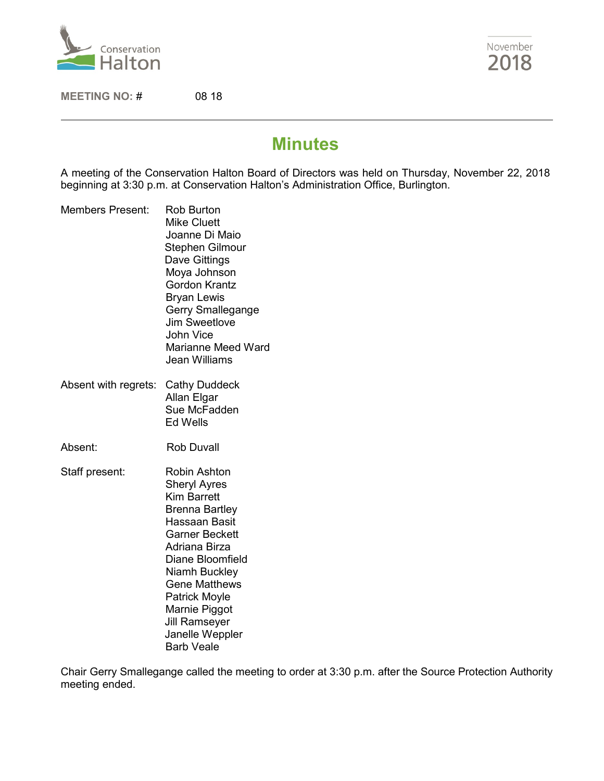

November 2018

**MEETING NO:** # 08 18

# **Minutes**

A meeting of the Conservation Halton Board of Directors was held on Thursday, November 22, 2018 beginning at 3:30 p.m. at Conservation Halton's Administration Office, Burlington.

- Members Present: Rob Burton Mike Cluett Joanne Di Maio Stephen Gilmour Dave Gittings Moya Johnson Gordon Krantz Bryan Lewis Gerry Smallegange Jim Sweetlove John Vice Marianne Meed Ward Jean Williams
- Absent with regrets: Cathy Duddeck Allan Elgar Sue McFadden Ed Wells
- Absent: Rob Duvall
- Staff present: Robin Ashton Sheryl Ayres Kim Barrett Brenna Bartley Hassaan Basit Garner Beckett Adriana Birza Diane Bloomfield Niamh Buckley Gene Matthews Patrick Moyle Marnie Piggot Jill Ramseyer Janelle Weppler Barb Veale

Chair Gerry Smallegange called the meeting to order at 3:30 p.m. after the Source Protection Authority meeting ended.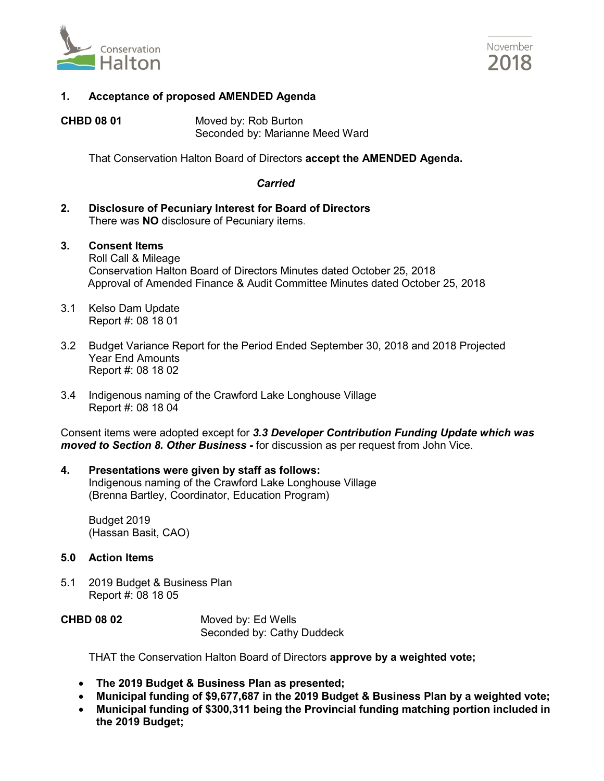



# **1. Acceptance of proposed AMENDED Agenda**

**CHBD 08 01** Moved by: Rob Burton Seconded by: Marianne Meed Ward

That Conservation Halton Board of Directors **accept the AMENDED Agenda.**

#### *Carried*

- **2. Disclosure of Pecuniary Interest for Board of Directors**  There was **NO** disclosure of Pecuniary items.
- **3. Consent Items**  Roll Call & Mileage Conservation Halton Board of Directors Minutes dated October 25, 2018 Approval of Amended Finance & Audit Committee Minutes dated October 25, 2018
- 3.1 Kelso Dam Update Report #: 08 18 01
- 3.2 Budget Variance Report for the Period Ended September 30, 2018 and 2018 Projected Year End Amounts Report #: 08 18 02
- 3.4 Indigenous naming of the Crawford Lake Longhouse Village Report #: 08 18 04

Consent items were adopted except for *3.3 Developer Contribution Funding Update which was moved to Section 8. Other Business -* for discussion as per request from John Vice.

#### **4. Presentations were given by staff as follows:** Indigenous naming of the Crawford Lake Longhouse Village (Brenna Bartley, Coordinator, Education Program)

Budget 2019 (Hassan Basit, CAO)

# **5.0 Action Items**

5.1 2019 Budget & Business Plan Report #: 08 18 05

| <b>CHBD 08 02</b> | Moved by: Ed Wells         |
|-------------------|----------------------------|
|                   | Seconded by: Cathy Duddeck |

THAT the Conservation Halton Board of Directors **approve by a weighted vote;**

- **The 2019 Budget & Business Plan as presented;**
- **Municipal funding of \$9,677,687 in the 2019 Budget & Business Plan by a weighted vote;**
- **Municipal funding of \$300,311 being the Provincial funding matching portion included in the 2019 Budget;**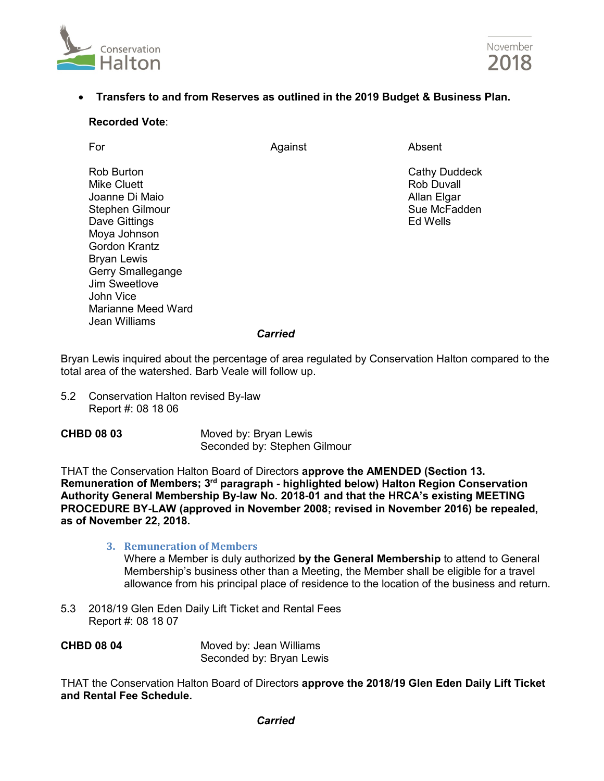



# • **Transfers to and from Reserves as outlined in the 2019 Budget & Business Plan.**

#### **Recorded Vote**:

For and a settlement of Against Absent Absent

Rob Burton **Cathy Duddeck**<br>
Mike Cluett **Cathy Duddeck**<br>
Mike Cluett **Contract Contract Contract Contract Contract Contract Contract Contract Contract Contract Contract Contract Contract Contract Contract Contract Contract** 

Mike Cluett Joanne Di Maio **Allan Elgar** Allan Elgar Allan Elgar Stephen Gilmour Stephen Gilmour Dave Gittings **Ed Wells** Moya Johnson Gordon Krantz Bryan Lewis Gerry Smallegange Jim Sweetlove John Vice Marianne Meed Ward Jean Williams

#### *Carried*

Bryan Lewis inquired about the percentage of area regulated by Conservation Halton compared to the total area of the watershed. Barb Veale will follow up.

- 5.2 Conservation Halton revised By-law Report #: 08 18 06
- **CHBD 08 03** Moved by: Bryan Lewis Seconded by: Stephen Gilmour

THAT the Conservation Halton Board of Directors **approve the AMENDED (Section 13. Remuneration of Members; 3rd paragraph - highlighted below) Halton Region Conservation Authority General Membership By-law No. 2018-01 and that the HRCA's existing MEETING PROCEDURE BY-LAW (approved in November 2008; revised in November 2016) be repealed, as of November 22, 2018.**

#### **3. Remuneration of Members**

Where a Member is duly authorized **by the General Membership** to attend to General Membership's business other than a Meeting, the Member shall be eligible for a travel allowance from his principal place of residence to the location of the business and return.

5.3 2018/19 Glen Eden Daily Lift Ticket and Rental Fees Report #: 08 18 07

**CHBD 08 04** Moved by: Jean Williams Seconded by: Bryan Lewis

THAT the Conservation Halton Board of Directors **approve the 2018/19 Glen Eden Daily Lift Ticket and Rental Fee Schedule.**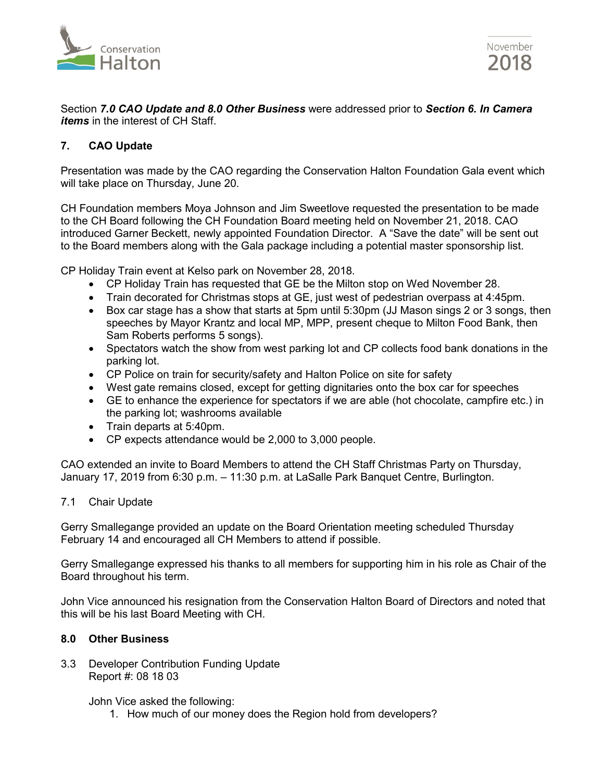

November 2018

Section *7.0 CAO Update and 8.0 Other Business* were addressed prior to *Section 6. In Camera items* in the interest of CH Staff.

# **7. CAO Update**

Presentation was made by the CAO regarding the Conservation Halton Foundation Gala event which will take place on Thursday, June 20.

CH Foundation members Moya Johnson and Jim Sweetlove requested the presentation to be made to the CH Board following the CH Foundation Board meeting held on November 21, 2018. CAO introduced Garner Beckett, newly appointed Foundation Director. A "Save the date" will be sent out to the Board members along with the Gala package including a potential master sponsorship list.

CP Holiday Train event at Kelso park on November 28, 2018.

- CP Holiday Train has requested that GE be the Milton stop on Wed November 28.
- Train decorated for Christmas stops at GE, just west of pedestrian overpass at 4:45pm.
- Box car stage has a show that starts at 5pm until 5:30pm (JJ Mason sings 2 or 3 songs, then speeches by Mayor Krantz and local MP, MPP, present cheque to Milton Food Bank, then Sam Roberts performs 5 songs).
- Spectators watch the show from west parking lot and CP collects food bank donations in the parking lot.
- CP Police on train for security/safety and Halton Police on site for safety
- West gate remains closed, except for getting dignitaries onto the box car for speeches
- GE to enhance the experience for spectators if we are able (hot chocolate, campfire etc.) in the parking lot; washrooms available
- Train departs at 5:40pm.
- CP expects attendance would be 2,000 to 3,000 people.

CAO extended an invite to Board Members to attend the CH Staff Christmas Party on Thursday, January 17, 2019 from 6:30 p.m. – 11:30 p.m. at LaSalle Park Banquet Centre, Burlington.

# 7.1 Chair Update

Gerry Smallegange provided an update on the Board Orientation meeting scheduled Thursday February 14 and encouraged all CH Members to attend if possible.

Gerry Smallegange expressed his thanks to all members for supporting him in his role as Chair of the Board throughout his term.

John Vice announced his resignation from the Conservation Halton Board of Directors and noted that this will be his last Board Meeting with CH.

# **8.0 Other Business**

3.3 Developer Contribution Funding Update Report #: 08 18 03

John Vice asked the following:

1. How much of our money does the Region hold from developers?